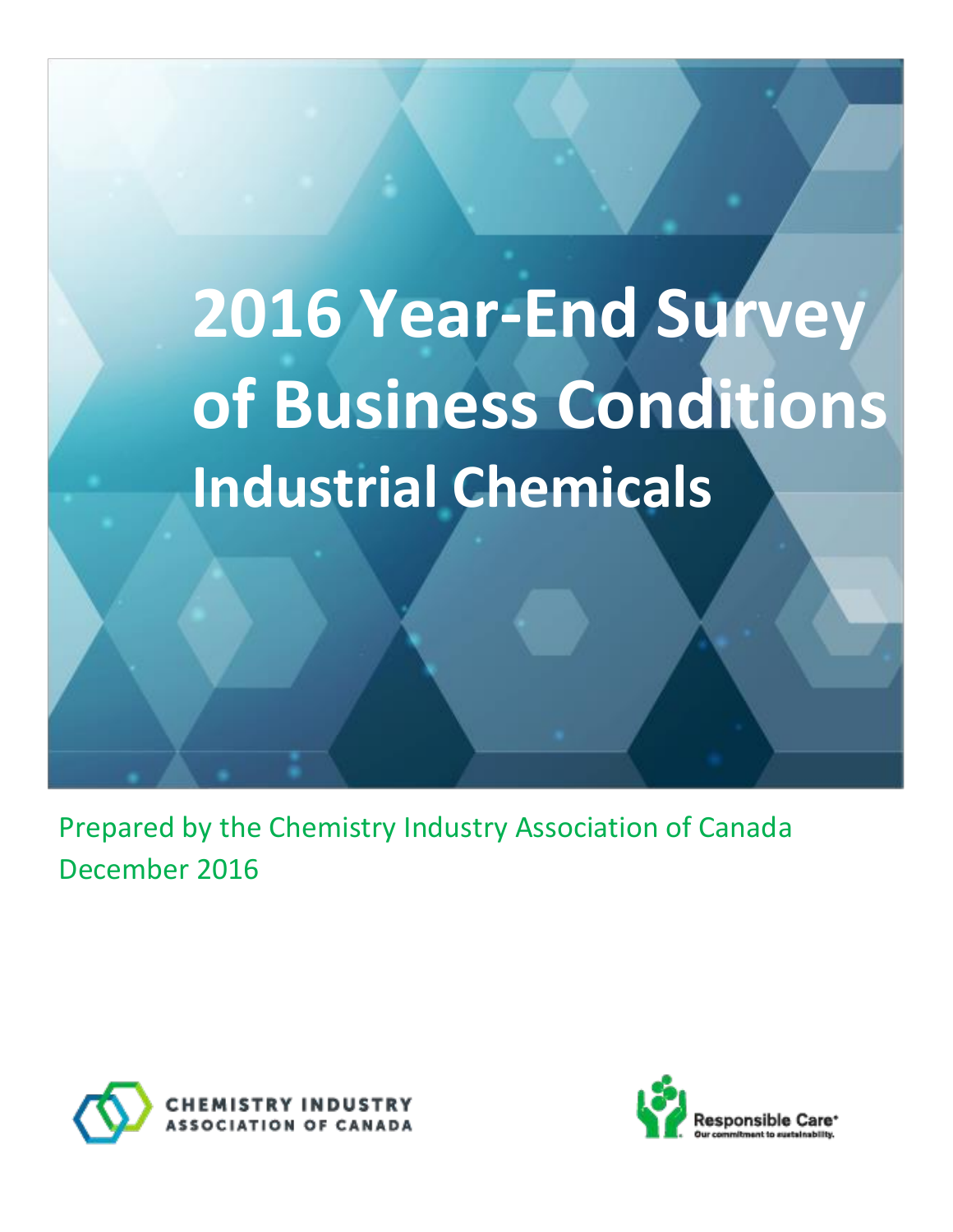# **2016 Year-End Survey of Business Conditions Industrial Chemicals**

Prepared by the Chemistry Industry Association of Canada December 2016



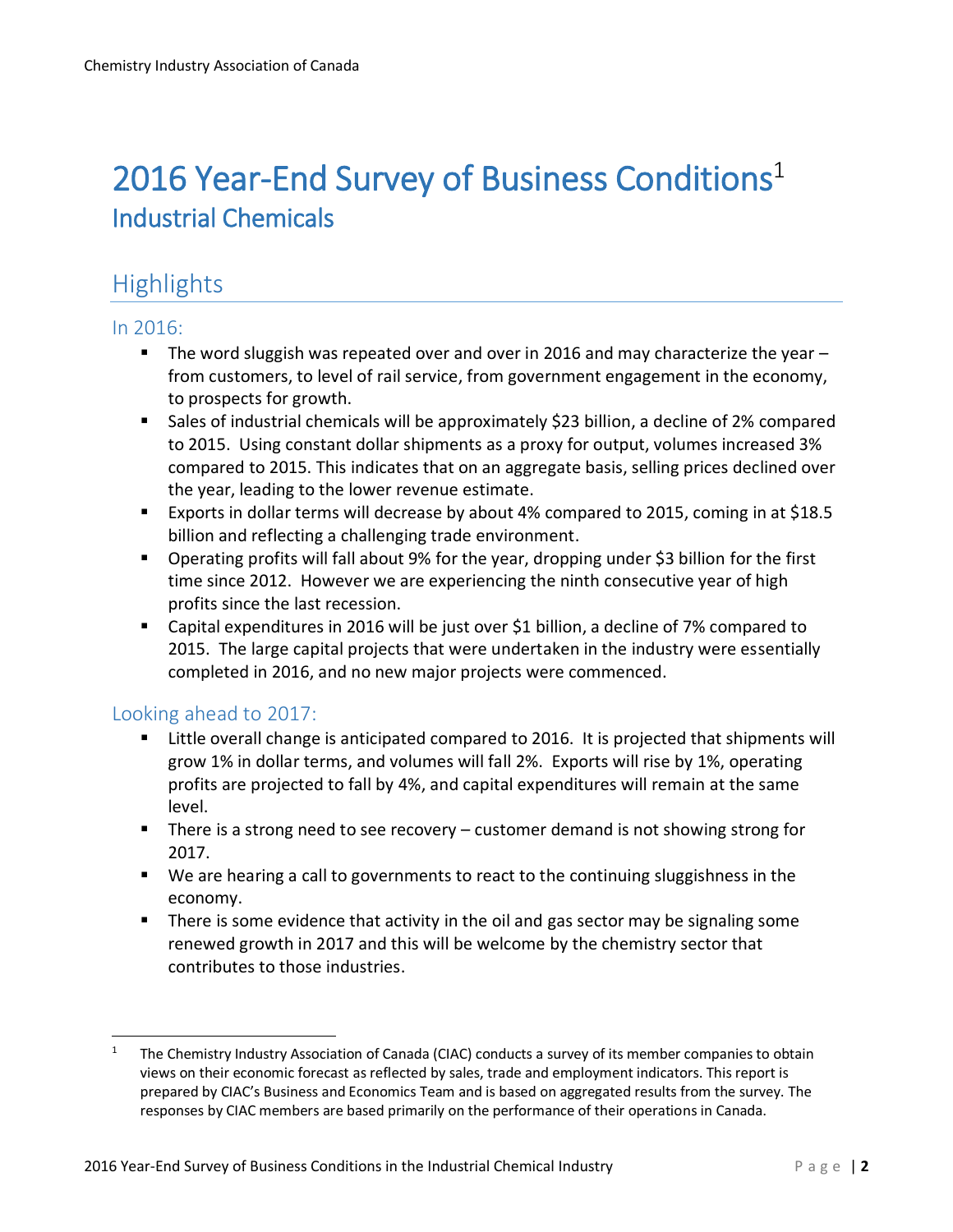## 2016 Year-End Survey of Business Conditions<sup>1</sup> Industrial Chemicals

## **Highlights**

#### In 2016:

- The word sluggish was repeated over and over in 2016 and may characterize the year  $$ from customers, to level of rail service, from government engagement in the economy, to prospects for growth.
- Sales of industrial chemicals will be approximately \$23 billion, a decline of 2% compared to 2015. Using constant dollar shipments as a proxy for output, volumes increased 3% compared to 2015. This indicates that on an aggregate basis, selling prices declined over the year, leading to the lower revenue estimate.
- Exports in dollar terms will decrease by about 4% compared to 2015, coming in at \$18.5 billion and reflecting a challenging trade environment.
- Operating profits will fall about 9% for the year, dropping under \$3 billion for the first time since 2012. However we are experiencing the ninth consecutive year of high profits since the last recession.
- Capital expenditures in 2016 will be just over \$1 billion, a decline of 7% compared to 2015. The large capital projects that were undertaken in the industry were essentially completed in 2016, and no new major projects were commenced.

#### Looking ahead to 2017:

 $\overline{a}$ 

- Little overall change is anticipated compared to 2016. It is projected that shipments will grow 1% in dollar terms, and volumes will fall 2%. Exports will rise by 1%, operating profits are projected to fall by 4%, and capital expenditures will remain at the same level.
- $\blacksquare$  There is a strong need to see recovery customer demand is not showing strong for 2017.
- We are hearing a call to governments to react to the continuing sluggishness in the economy.
- **There is some evidence that activity in the oil and gas sector may be signaling some** renewed growth in 2017 and this will be welcome by the chemistry sector that contributes to those industries.

<sup>1</sup> The Chemistry Industry Association of Canada (CIAC) conducts a survey of its member companies to obtain views on their economic forecast as reflected by sales, trade and employment indicators. This report is prepared by CIAC's Business and Economics Team and is based on aggregated results from the survey. The responses by CIAC members are based primarily on the performance of their operations in Canada.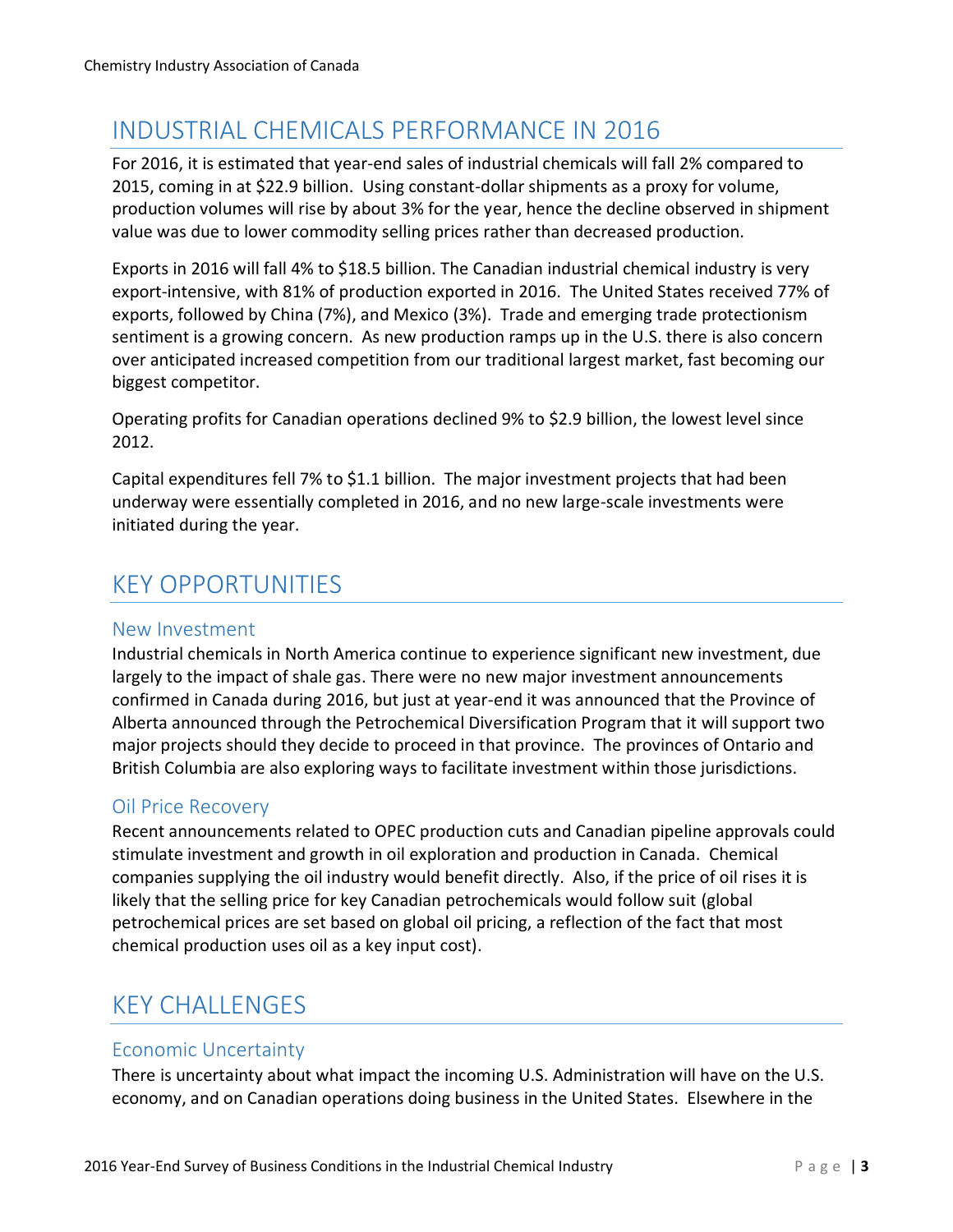## INDUSTRIAL CHEMICALS PERFORMANCE IN 2016

For 2016, it is estimated that year-end sales of industrial chemicals will fall 2% compared to 2015, coming in at \$22.9 billion. Using constant-dollar shipments as a proxy for volume, production volumes will rise by about 3% for the year, hence the decline observed in shipment value was due to lower commodity selling prices rather than decreased production.

Exports in 2016 will fall 4% to \$18.5 billion. The Canadian industrial chemical industry is very export-intensive, with 81% of production exported in 2016. The United States received 77% of exports, followed by China (7%), and Mexico (3%). Trade and emerging trade protectionism sentiment is a growing concern. As new production ramps up in the U.S. there is also concern over anticipated increased competition from our traditional largest market, fast becoming our biggest competitor.

Operating profits for Canadian operations declined 9% to \$2.9 billion, the lowest level since 2012.

Capital expenditures fell 7% to \$1.1 billion. The major investment projects that had been underway were essentially completed in 2016, and no new large-scale investments were initiated during the year.

## KEY OPPORTUNITIES

#### New Investment

Industrial chemicals in North America continue to experience significant new investment, due largely to the impact of shale gas. There were no new major investment announcements confirmed in Canada during 2016, but just at year-end it was announced that the Province of Alberta announced through the Petrochemical Diversification Program that it will support two major projects should they decide to proceed in that province. The provinces of Ontario and British Columbia are also exploring ways to facilitate investment within those jurisdictions.

#### Oil Price Recovery

Recent announcements related to OPEC production cuts and Canadian pipeline approvals could stimulate investment and growth in oil exploration and production in Canada. Chemical companies supplying the oil industry would benefit directly. Also, if the price of oil rises it is likely that the selling price for key Canadian petrochemicals would follow suit (global petrochemical prices are set based on global oil pricing, a reflection of the fact that most chemical production uses oil as a key input cost).

## KEY CHALLENGES

#### Economic Uncertainty

There is uncertainty about what impact the incoming U.S. Administration will have on the U.S. economy, and on Canadian operations doing business in the United States. Elsewhere in the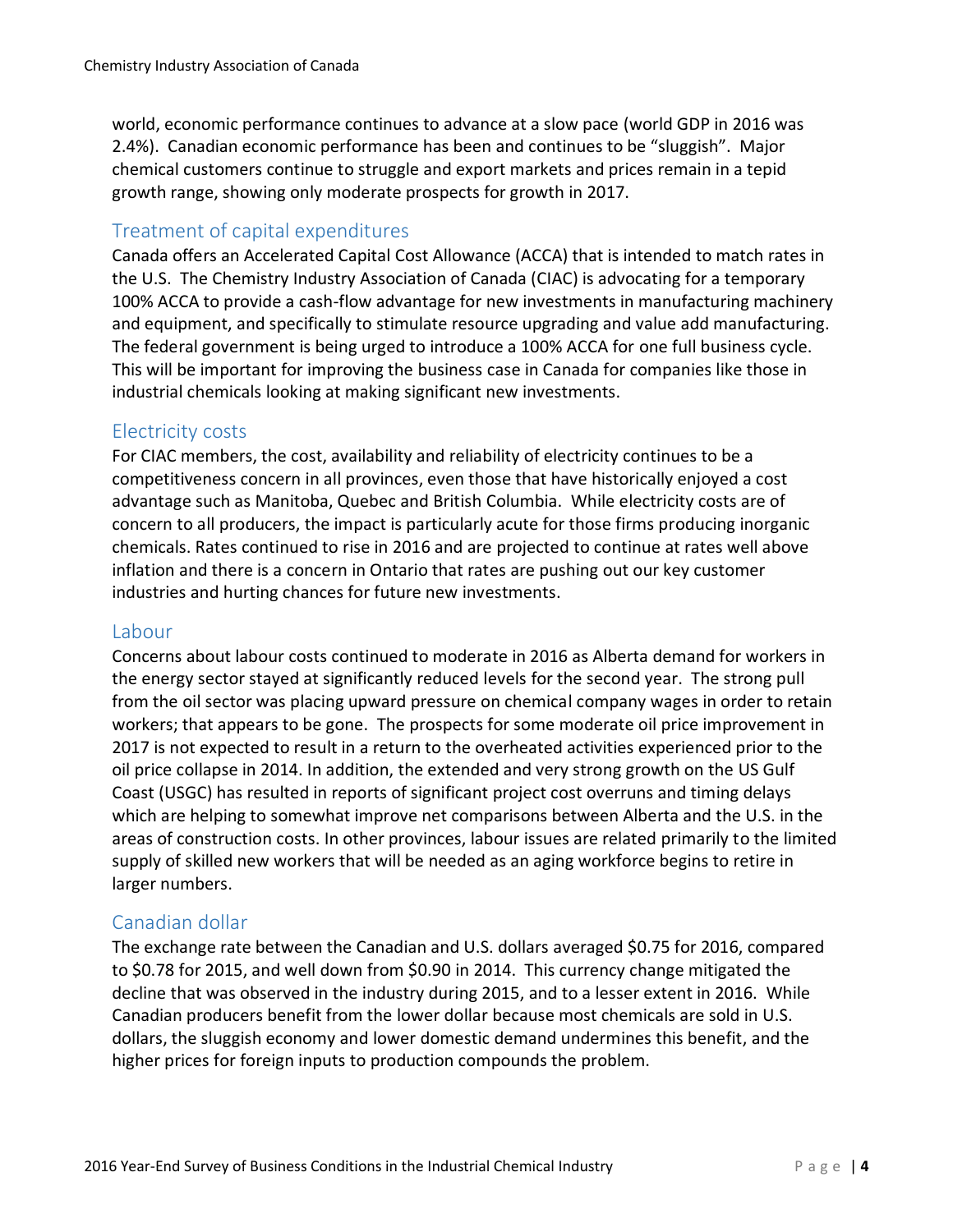world, economic performance continues to advance at a slow pace (world GDP in 2016 was 2.4%). Canadian economic performance has been and continues to be "sluggish". Major chemical customers continue to struggle and export markets and prices remain in a tepid growth range, showing only moderate prospects for growth in 2017.

#### Treatment of capital expenditures

Canada offers an Accelerated Capital Cost Allowance (ACCA) that is intended to match rates in the U.S. The Chemistry Industry Association of Canada (CIAC) is advocating for a temporary 100% ACCA to provide a cash-flow advantage for new investments in manufacturing machinery and equipment, and specifically to stimulate resource upgrading and value add manufacturing. The federal government is being urged to introduce a 100% ACCA for one full business cycle. This will be important for improving the business case in Canada for companies like those in industrial chemicals looking at making significant new investments.

#### Electricity costs

For CIAC members, the cost, availability and reliability of electricity continues to be a competitiveness concern in all provinces, even those that have historically enjoyed a cost advantage such as Manitoba, Quebec and British Columbia. While electricity costs are of concern to all producers, the impact is particularly acute for those firms producing inorganic chemicals. Rates continued to rise in 2016 and are projected to continue at rates well above inflation and there is a concern in Ontario that rates are pushing out our key customer industries and hurting chances for future new investments.

#### Labour

Concerns about labour costs continued to moderate in 2016 as Alberta demand for workers in the energy sector stayed at significantly reduced levels for the second year. The strong pull from the oil sector was placing upward pressure on chemical company wages in order to retain workers; that appears to be gone. The prospects for some moderate oil price improvement in 2017 is not expected to result in a return to the overheated activities experienced prior to the oil price collapse in 2014. In addition, the extended and very strong growth on the US Gulf Coast (USGC) has resulted in reports of significant project cost overruns and timing delays which are helping to somewhat improve net comparisons between Alberta and the U.S. in the areas of construction costs. In other provinces, labour issues are related primarily to the limited supply of skilled new workers that will be needed as an aging workforce begins to retire in larger numbers.

#### Canadian dollar

The exchange rate between the Canadian and U.S. dollars averaged \$0.75 for 2016, compared to \$0.78 for 2015, and well down from \$0.90 in 2014. This currency change mitigated the decline that was observed in the industry during 2015, and to a lesser extent in 2016. While Canadian producers benefit from the lower dollar because most chemicals are sold in U.S. dollars, the sluggish economy and lower domestic demand undermines this benefit, and the higher prices for foreign inputs to production compounds the problem.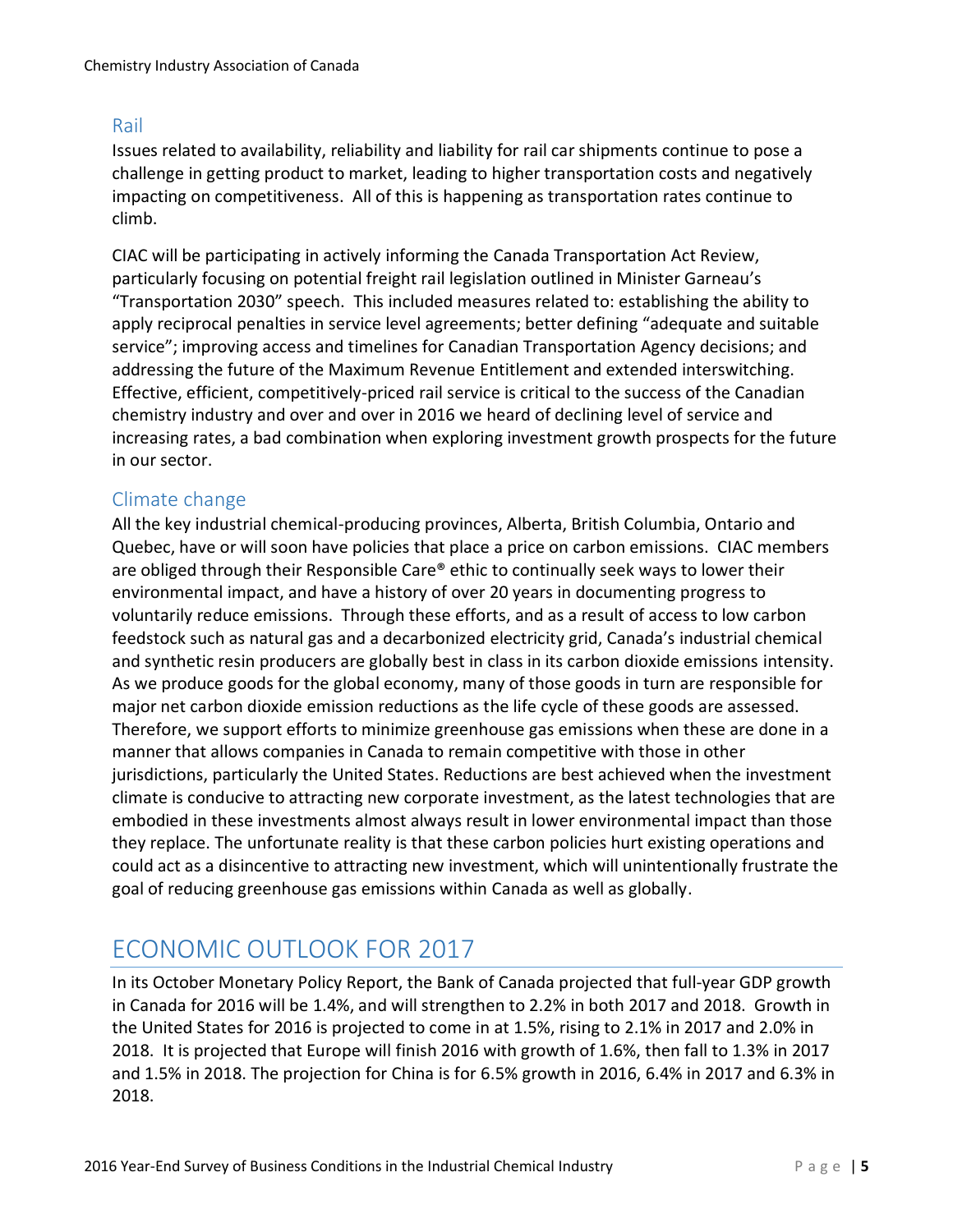#### Rail

Issues related to availability, reliability and liability for rail car shipments continue to pose a challenge in getting product to market, leading to higher transportation costs and negatively impacting on competitiveness. All of this is happening as transportation rates continue to climb.

CIAC will be participating in actively informing the Canada Transportation Act Review, particularly focusing on potential freight rail legislation outlined in Minister Garneau's "Transportation 2030" speech. This included measures related to: establishing the ability to apply reciprocal penalties in service level agreements; better defining "adequate and suitable service"; improving access and timelines for Canadian Transportation Agency decisions; and addressing the future of the Maximum Revenue Entitlement and extended interswitching. Effective, efficient, competitively-priced rail service is critical to the success of the Canadian chemistry industry and over and over in 2016 we heard of declining level of service and increasing rates, a bad combination when exploring investment growth prospects for the future in our sector.

#### Climate change

All the key industrial chemical-producing provinces, Alberta, British Columbia, Ontario and Quebec, have or will soon have policies that place a price on carbon emissions. CIAC members are obliged through their Responsible Care® ethic to continually seek ways to lower their environmental impact, and have a history of over 20 years in documenting progress to voluntarily reduce emissions. Through these efforts, and as a result of access to low carbon feedstock such as natural gas and a decarbonized electricity grid, Canada's industrial chemical and synthetic resin producers are globally best in class in its carbon dioxide emissions intensity. As we produce goods for the global economy, many of those goods in turn are responsible for major net carbon dioxide emission reductions as the life cycle of these goods are assessed. Therefore, we support efforts to minimize greenhouse gas emissions when these are done in a manner that allows companies in Canada to remain competitive with those in other jurisdictions, particularly the United States. Reductions are best achieved when the investment climate is conducive to attracting new corporate investment, as the latest technologies that are embodied in these investments almost always result in lower environmental impact than those they replace. The unfortunate reality is that these carbon policies hurt existing operations and could act as a disincentive to attracting new investment, which will unintentionally frustrate the goal of reducing greenhouse gas emissions within Canada as well as globally.

## ECONOMIC OUTLOOK FOR 2017

In its October Monetary Policy Report, the Bank of Canada projected that full-year GDP growth in Canada for 2016 will be 1.4%, and will strengthen to 2.2% in both 2017 and 2018. Growth in the United States for 2016 is projected to come in at 1.5%, rising to 2.1% in 2017 and 2.0% in 2018. It is projected that Europe will finish 2016 with growth of 1.6%, then fall to 1.3% in 2017 and 1.5% in 2018. The projection for China is for 6.5% growth in 2016, 6.4% in 2017 and 6.3% in 2018.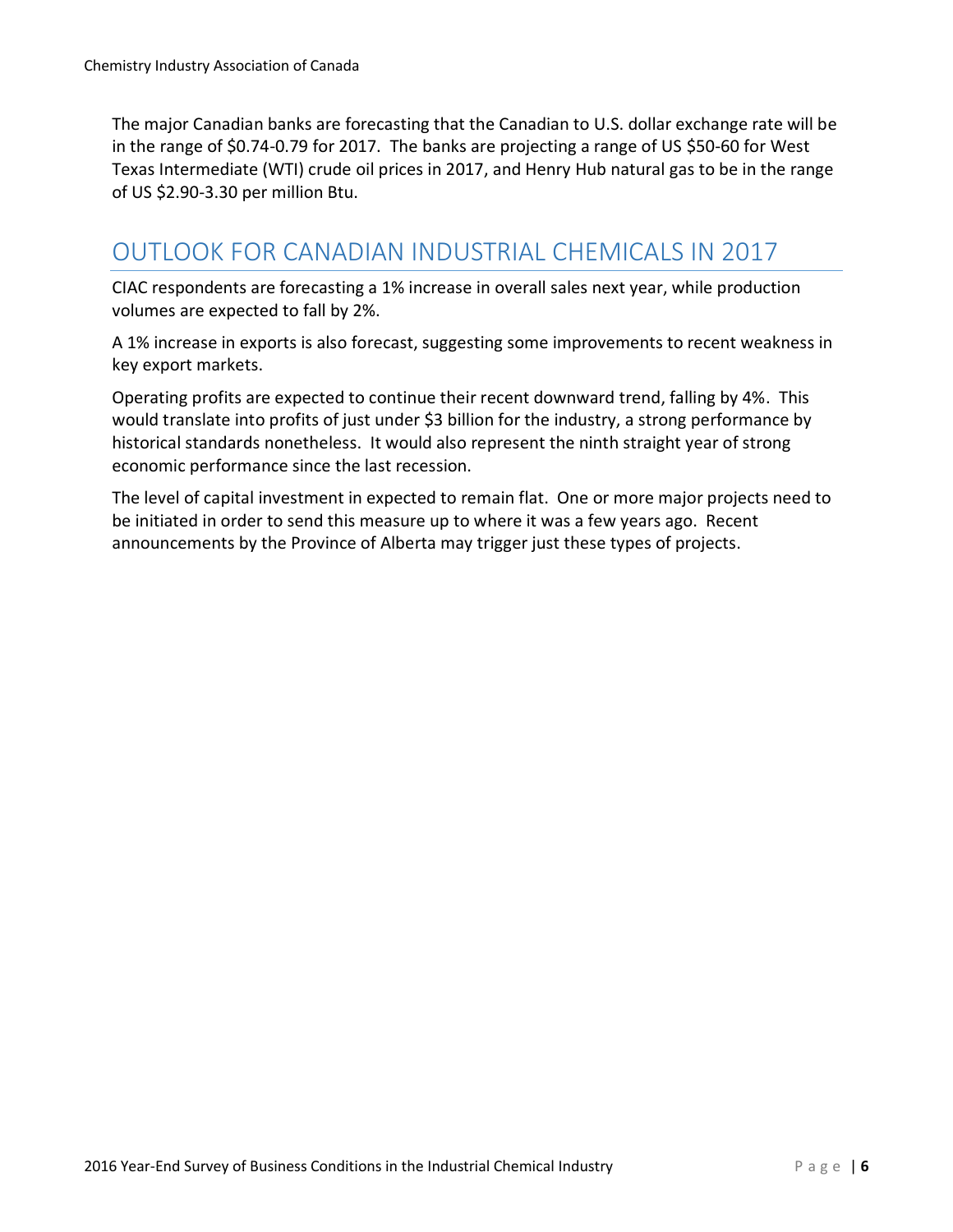The major Canadian banks are forecasting that the Canadian to U.S. dollar exchange rate will be in the range of \$0.74-0.79 for 2017. The banks are projecting a range of US \$50-60 for West Texas Intermediate (WTI) crude oil prices in 2017, and Henry Hub natural gas to be in the range of US \$2.90-3.30 per million Btu.

## OUTLOOK FOR CANADIAN INDUSTRIAL CHEMICALS IN 2017

CIAC respondents are forecasting a 1% increase in overall sales next year, while production volumes are expected to fall by 2%.

A 1% increase in exports is also forecast, suggesting some improvements to recent weakness in key export markets.

Operating profits are expected to continue their recent downward trend, falling by 4%. This would translate into profits of just under \$3 billion for the industry, a strong performance by historical standards nonetheless. It would also represent the ninth straight year of strong economic performance since the last recession.

The level of capital investment in expected to remain flat. One or more major projects need to be initiated in order to send this measure up to where it was a few years ago. Recent announcements by the Province of Alberta may trigger just these types of projects.